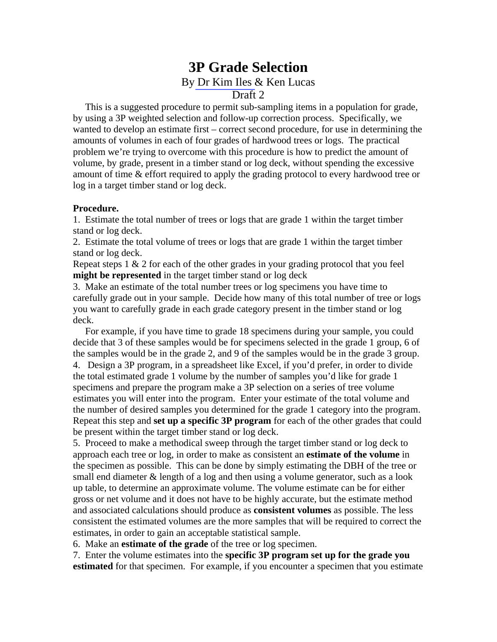## **3P Grade Selection**  By [Dr Kim Iles &](http://www.island.net/~kiles/) Ken Lucas Draft 2

 This is a suggested procedure to permit sub-sampling items in a population for grade, by using a 3P weighted selection and follow-up correction process. Specifically, we wanted to develop an estimate first – correct second procedure, for use in determining the amounts of volumes in each of four grades of hardwood trees or logs. The practical problem we're trying to overcome with this procedure is how to predict the amount of volume, by grade, present in a timber stand or log deck, without spending the excessive amount of time & effort required to apply the grading protocol to every hardwood tree or log in a target timber stand or log deck.

## **Procedure.**

1. Estimate the total number of trees or logs that are grade 1 within the target timber stand or log deck.

2. Estimate the total volume of trees or logs that are grade 1 within the target timber stand or log deck.

Repeat steps  $1 \& 2$  for each of the other grades in your grading protocol that you feel **might be represented** in the target timber stand or log deck

3. Make an estimate of the total number trees or log specimens you have time to carefully grade out in your sample. Decide how many of this total number of tree or logs you want to carefully grade in each grade category present in the timber stand or log deck.

 For example, if you have time to grade 18 specimens during your sample, you could decide that 3 of these samples would be for specimens selected in the grade 1 group, 6 of the samples would be in the grade 2, and 9 of the samples would be in the grade 3 group. 4. Design a 3P program, in a spreadsheet like Excel, if you'd prefer, in order to divide the total estimated grade 1 volume by the number of samples you'd like for grade 1 specimens and prepare the program make a 3P selection on a series of tree volume estimates you will enter into the program. Enter your estimate of the total volume and the number of desired samples you determined for the grade 1 category into the program. Repeat this step and **set up a specific 3P program** for each of the other grades that could be present within the target timber stand or log deck.

5. Proceed to make a methodical sweep through the target timber stand or log deck to approach each tree or log, in order to make as consistent an **estimate of the volume** in the specimen as possible. This can be done by simply estimating the DBH of the tree or small end diameter & length of a log and then using a volume generator, such as a look up table, to determine an approximate volume. The volume estimate can be for either gross or net volume and it does not have to be highly accurate, but the estimate method and associated calculations should produce as **consistent volumes** as possible. The less consistent the estimated volumes are the more samples that will be required to correct the estimates, in order to gain an acceptable statistical sample.

6. Make an **estimate of the grade** of the tree or log specimen.

7. Enter the volume estimates into the **specific 3P program set up for the grade you estimated** for that specimen.For example, if you encounter a specimen that you estimate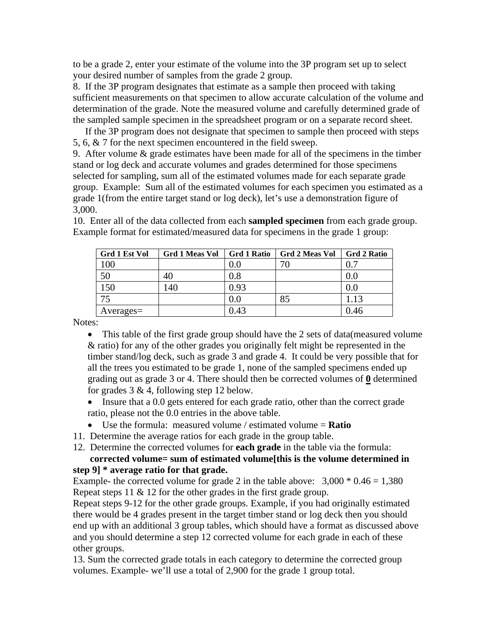to be a grade 2, enter your estimate of the volume into the 3P program set up to select your desired number of samples from the grade 2 group.

8. If the 3P program designates that estimate as a sample then proceed with taking sufficient measurements on that specimen to allow accurate calculation of the volume and determination of the grade. Note the measured volume and carefully determined grade of the sampled sample specimen in the spreadsheet program or on a separate record sheet.

 If the 3P program does not designate that specimen to sample then proceed with steps 5, 6, & 7 for the next specimen encountered in the field sweep.

9. After volume & grade estimates have been made for all of the specimens in the timber stand or log deck and accurate volumes and grades determined for those specimens selected for sampling, sum all of the estimated volumes made for each separate grade group. Example: Sum all of the estimated volumes for each specimen you estimated as a grade 1(from the entire target stand or log deck), let's use a demonstration figure of 3,000.

10. Enter all of the data collected from each **sampled specimen** from each grade group. Example format for estimated/measured data for specimens in the grade 1 group:

| Grd 1 Est Vol   | Grd 1 Meas Vol | <b>Grd 1 Ratio</b> | Grd 2 Meas Vol | <b>Grd 2 Ratio</b> |
|-----------------|----------------|--------------------|----------------|--------------------|
| 100             |                | $0.0\,$            | 70             | 0.7                |
| 50              | 40             | $\rm 0.8$          |                | 0.0                |
| 150             | 140            | 0.93               |                | 0.0                |
| 75              |                | $0.0\,$            | 85             | 1.13               |
| $A$ verages $=$ |                | 0.43               |                | 0.46               |

Notes:

- This table of the first grade group should have the 2 sets of data (measured volume & ratio) for any of the other grades you originally felt might be represented in the timber stand/log deck, such as grade 3 and grade 4. It could be very possible that for all the trees you estimated to be grade 1, none of the sampled specimens ended up grading out as grade 3 or 4. There should then be corrected volumes of **0** determined for grades  $3 \& 4$ , following step 12 below.
- Insure that a 0.0 gets entered for each grade ratio, other than the correct grade ratio, please not the 0.0 entries in the above table.
- Use the formula: measured volume / estimated volume = **Ratio**
- 11. Determine the average ratios for each grade in the group table.
- 12. Determine the corrected volumes for **each grade** in the table via the formula:

## **corrected volume= sum of estimated volume[this is the volume determined in step 9] \* average ratio for that grade.**

Example- the corrected volume for grade 2 in the table above:  $3,000 * 0.46 = 1,380$ Repeat steps 11 & 12 for the other grades in the first grade group.

Repeat steps 9-12 for the other grade groups. Example, if you had originally estimated there would be 4 grades present in the target timber stand or log deck then you should end up with an additional 3 group tables, which should have a format as discussed above and you should determine a step 12 corrected volume for each grade in each of these other groups.

13. Sum the corrected grade totals in each category to determine the corrected group volumes. Example- we'll use a total of 2,900 for the grade 1 group total.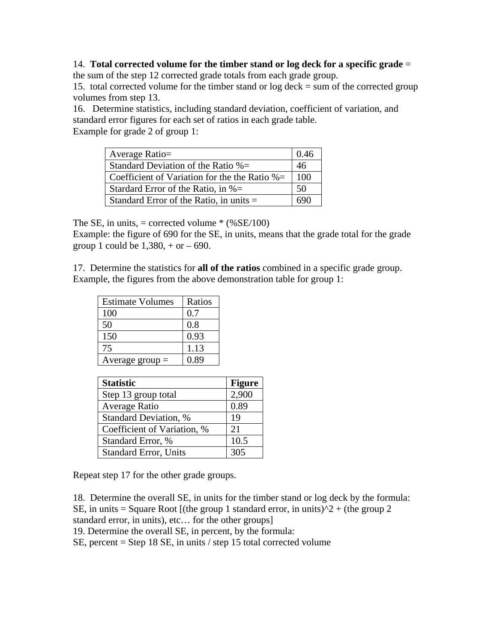## 14. **Total corrected volume for the timber stand or log deck for a specific grade** =

the sum of the step 12 corrected grade totals from each grade group.

15. total corrected volume for the timber stand or log deck = sum of the corrected group volumes from step 13.

16. Determine statistics, including standard deviation, coefficient of variation, and standard error figures for each set of ratios in each grade table. Example for grade 2 of group 1:

| Average Ratio=                                   | 0.46 |
|--------------------------------------------------|------|
| Standard Deviation of the Ratio $% =$            | 46   |
| Coefficient of Variation for the the Ratio $% =$ | 100  |
| Stardard Error of the Ratio, in $% =$            | 50   |
| Standard Error of the Ratio, in units $=$        | 690  |

The SE, in units,  $=$  corrected volume  $*(\%SE/100)$ 

Example: the figure of 690 for the SE, in units, means that the grade total for the grade group 1 could be  $1,380, +$  or  $-690$ .

17. Determine the statistics for **all of the ratios** combined in a specific grade group. Example, the figures from the above demonstration table for group 1:

| <b>Estimate Volumes</b> | Ratios |
|-------------------------|--------|
| 100                     | 0.7    |
| 50                      | 0.8    |
| 150                     | 0.93   |
| 75                      | 1.13   |
| Average group $=$       | 0.89   |

| <b>Statistic</b>             | <b>Figure</b> |
|------------------------------|---------------|
| Step 13 group total          | 2,900         |
| Average Ratio                | 0.89          |
| <b>Standard Deviation, %</b> | 19            |
| Coefficient of Variation, %  | 21            |
| Standard Error, %            | 10.5          |
| <b>Standard Error, Units</b> | 305           |

Repeat step 17 for the other grade groups.

18. Determine the overall SE, in units for the timber stand or log deck by the formula:

SE, in units = Square Root  $[(the group 1 standard error, in units)<sup>2</sup> + (the group 2)]$ 

standard error, in units), etc… for the other groups]

19. Determine the overall SE, in percent, by the formula:

SE, percent = Step 18 SE, in units / step 15 total corrected volume